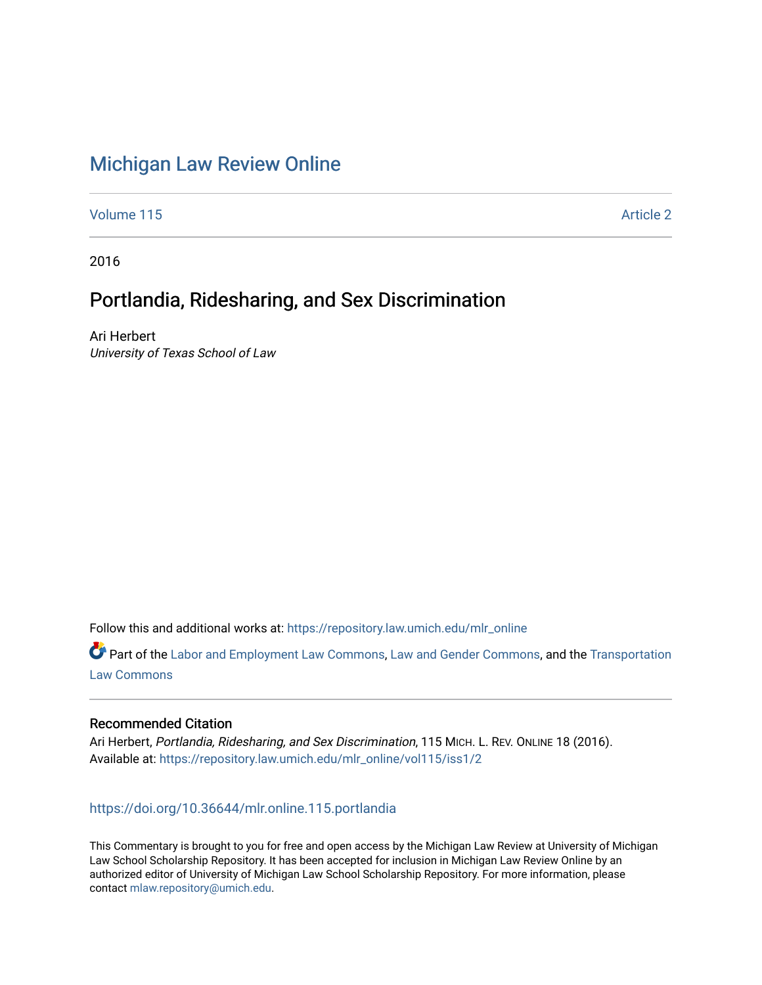# [Michigan Law Review Online](https://repository.law.umich.edu/mlr_online)

[Volume 115](https://repository.law.umich.edu/mlr_online/vol115) Article 2

2016

## Portlandia, Ridesharing, and Sex Discrimination

Ari Herbert University of Texas School of Law

Follow this and additional works at: [https://repository.law.umich.edu/mlr\\_online](https://repository.law.umich.edu/mlr_online?utm_source=repository.law.umich.edu%2Fmlr_online%2Fvol115%2Fiss1%2F2&utm_medium=PDF&utm_campaign=PDFCoverPages) 

Part of the [Labor and Employment Law Commons](http://network.bepress.com/hgg/discipline/909?utm_source=repository.law.umich.edu%2Fmlr_online%2Fvol115%2Fiss1%2F2&utm_medium=PDF&utm_campaign=PDFCoverPages), [Law and Gender Commons](http://network.bepress.com/hgg/discipline/1298?utm_source=repository.law.umich.edu%2Fmlr_online%2Fvol115%2Fiss1%2F2&utm_medium=PDF&utm_campaign=PDFCoverPages), and the [Transportation](http://network.bepress.com/hgg/discipline/885?utm_source=repository.law.umich.edu%2Fmlr_online%2Fvol115%2Fiss1%2F2&utm_medium=PDF&utm_campaign=PDFCoverPages)  [Law Commons](http://network.bepress.com/hgg/discipline/885?utm_source=repository.law.umich.edu%2Fmlr_online%2Fvol115%2Fiss1%2F2&utm_medium=PDF&utm_campaign=PDFCoverPages) 

### Recommended Citation

Ari Herbert, Portlandia, Ridesharing, and Sex Discrimination, 115 MICH. L. REV. ONLINE 18 (2016). Available at: [https://repository.law.umich.edu/mlr\\_online/vol115/iss1/2](https://repository.law.umich.edu/mlr_online/vol115/iss1/2?utm_source=repository.law.umich.edu%2Fmlr_online%2Fvol115%2Fiss1%2F2&utm_medium=PDF&utm_campaign=PDFCoverPages)

### <https://doi.org/10.36644/mlr.online.115.portlandia>

This Commentary is brought to you for free and open access by the Michigan Law Review at University of Michigan Law School Scholarship Repository. It has been accepted for inclusion in Michigan Law Review Online by an authorized editor of University of Michigan Law School Scholarship Repository. For more information, please contact [mlaw.repository@umich.edu](mailto:mlaw.repository@umich.edu).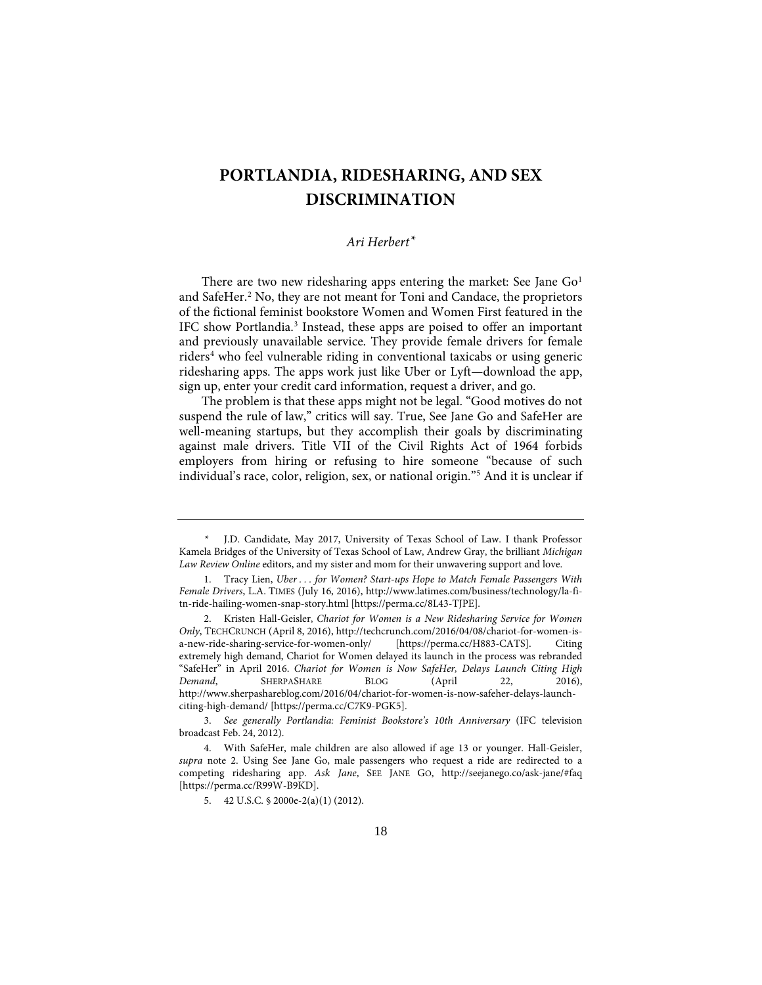## **PORTLANDIA, RIDESHARING, AND SEX DISCRIMINATION**

## *Ari Herbert[\\*](#page-1-0)*

There are two new ridesharing apps entering the market: See Jane  $Go<sup>1</sup>$  $Go<sup>1</sup>$  $Go<sup>1</sup>$ and SafeHer.<sup>[2](#page-1-2)</sup> No, they are not meant for Toni and Candace, the proprietors of the fictional feminist bookstore Women and Women First featured in the IFC show Portlandia[.3](#page-1-3) Instead, these apps are poised to offer an important and previously unavailable service. They provide female drivers for female riders<sup>[4](#page-1-4)</sup> who feel vulnerable riding in conventional taxicabs or using generic ridesharing apps. The apps work just like Uber or Lyft—download the app, sign up, enter your credit card information, request a driver, and go.

The problem is that these apps might not be legal. "Good motives do not suspend the rule of law," critics will say. True, See Jane Go and SafeHer are well-meaning startups, but they accomplish their goals by discriminating against male drivers. Title VII of the Civil Rights Act of 1964 forbids employers from hiring or refusing to hire someone "because of such individual's race, color, religion, sex, or national origin."[5](#page-1-5) And it is unclear if

<span id="page-1-0"></span>J.D. Candidate, May 2017, University of Texas School of Law. I thank Professor Kamela Bridges of the University of Texas School of Law, Andrew Gray, the brilliant *Michigan Law Review Online* editors, and my sister and mom for their unwavering support and love.

<span id="page-1-1"></span> <sup>1.</sup> Tracy Lien, *Uber . . . for Women? Start-ups Hope to Match Female Passengers With Female Drivers*, L.A. TIMES (July 16, 2016), http://www.latimes.com/business/technology/la-fitn-ride-hailing-women-snap-story.html [https://perma.cc/8L43-TJPE].

<span id="page-1-2"></span> <sup>2.</sup> Kristen Hall-Geisler, *Chariot for Women is a New Ridesharing Service for Women Only*, TECHCRUNCH (April 8, 2016), http://techcrunch.com/2016/04/08/chariot-for-women-isa-new-ride-sharing-service-for-women-only/ [https://perma.cc/H883-CATS]. Citing extremely high demand, Chariot for Women delayed its launch in the process was rebranded "SafeHer" in April 2016. *Chariot for Women is Now SafeHer, Delays Launch Citing High Demand*, SHERPASHARE BLOG (April 22, 2016), http://www.sherpashareblog.com/2016/04/chariot-for-women-is-now-safeher-delays-launchciting-high-demand/ [https://perma.cc/C7K9-PGK5].

<span id="page-1-3"></span> <sup>3.</sup> *See generally Portlandia: Feminist Bookstore's 10th Anniversary* (IFC television broadcast Feb. 24, 2012).

<span id="page-1-5"></span><span id="page-1-4"></span> <sup>4.</sup> With SafeHer, male children are also allowed if age 13 or younger. Hall-Geisler, *supra* note 2. Using See Jane Go, male passengers who request a ride are redirected to a competing ridesharing app. *Ask Jane*, SEE JANE GO, http://seejanego.co/ask-jane/#faq [https://perma.cc/R99W-B9KD].

 <sup>5. 42</sup> U.S.C. § 2000e-2(a)(1) (2012).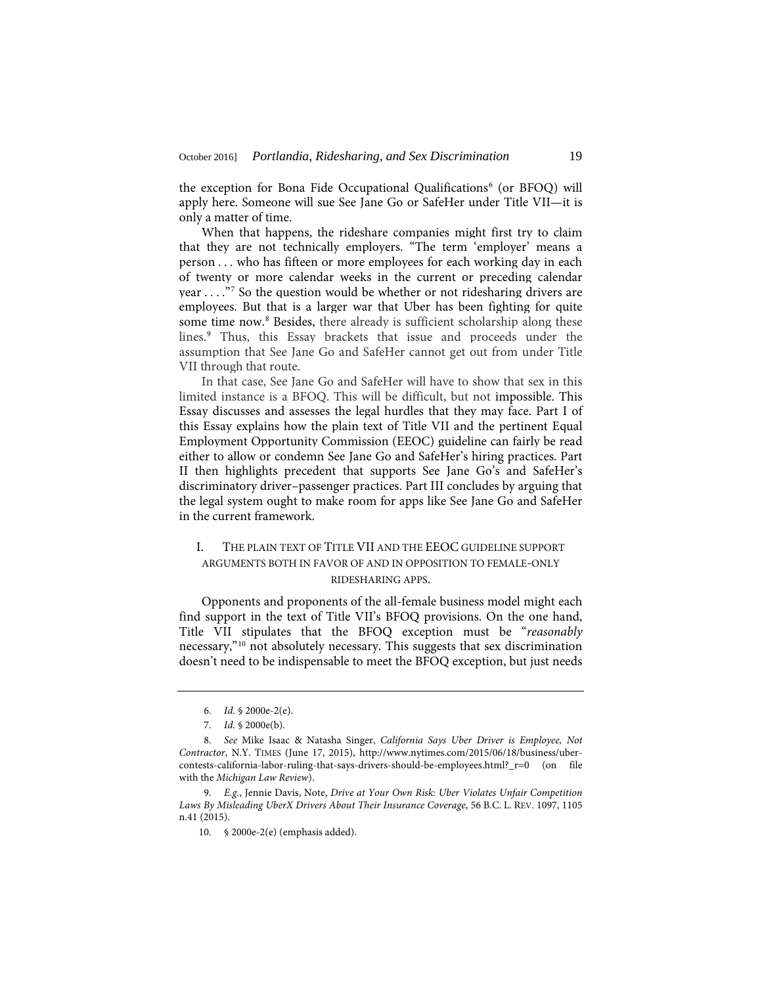the exception for Bona Fide Occupational Qualifications<sup>[6](#page-2-0)</sup> (or BFOQ) will apply here. Someone will sue See Jane Go or SafeHer under Title VII—it is only a matter of time.

When that happens, the rideshare companies might first try to claim that they are not technically employers. "The term 'employer' means a person . . . who has fifteen or more employees for each working day in each of twenty or more calendar weeks in the current or preceding calendar year . . . ."[7](#page-2-1) So the question would be whether or not ridesharing drivers are employees. But that is a larger war that Uber has been fighting for quite some time now.<sup>[8](#page-2-2)</sup> Besides, there already is sufficient scholarship along these lines.<sup>[9](#page-2-3)</sup> Thus, this Essay brackets that issue and proceeds under the assumption that See Jane Go and SafeHer cannot get out from under Title VII through that route.

In that case, See Jane Go and SafeHer will have to show that sex in this limited instance is a BFOQ. This will be difficult, but not impossible. This Essay discusses and assesses the legal hurdles that they may face. Part I of this Essay explains how the plain text of Title VII and the pertinent Equal Employment Opportunity Commission (EEOC) guideline can fairly be read either to allow or condemn See Jane Go and SafeHer's hiring practices. Part II then highlights precedent that supports See Jane Go's and SafeHer's discriminatory driver–passenger practices. Part III concludes by arguing that the legal system ought to make room for apps like See Jane Go and SafeHer in the current framework.

## I. THE PLAIN TEXT OF TITLE VII AND THE EEOC GUIDELINE SUPPORT ARGUMENTS BOTH IN FAVOR OF AND IN OPPOSITION TO FEMALE-ONLY RIDESHARING APPS.

Opponents and proponents of the all-female business model might each find support in the text of Title VII's BFOQ provisions. On the one hand, Title VII stipulates that the BFOQ exception must be "*reasonably* necessary,"[10](#page-2-4) not absolutely necessary. This suggests that sex discrimination doesn't need to be indispensable to meet the BFOQ exception, but just needs

 <sup>6.</sup> *Id.* § 2000e-2(e).

 <sup>7.</sup> *Id.* § 2000e(b).

<span id="page-2-2"></span><span id="page-2-1"></span><span id="page-2-0"></span> <sup>8.</sup> *See* Mike Isaac & Natasha Singer, *California Says Uber Driver is Employee, Not Contractor*, N.Y. TIMES (June 17, 2015), http://www.nytimes.com/2015/06/18/business/ubercontests-california-labor-ruling-that-says-drivers-should-be-employees.html?\_r=0 (on file with the *Michigan Law Review*).

<span id="page-2-4"></span><span id="page-2-3"></span> <sup>9.</sup> *E.g.*, Jennie Davis, Note, *Drive at Your Own Risk: Uber Violates Unfair Competition Laws By Misleading UberX Drivers About Their Insurance Coverage*, 56 B.C. L. REV. 1097, 1105 n.41 (2015).

<sup>10. § 2000</sup>e-2(e) (emphasis added).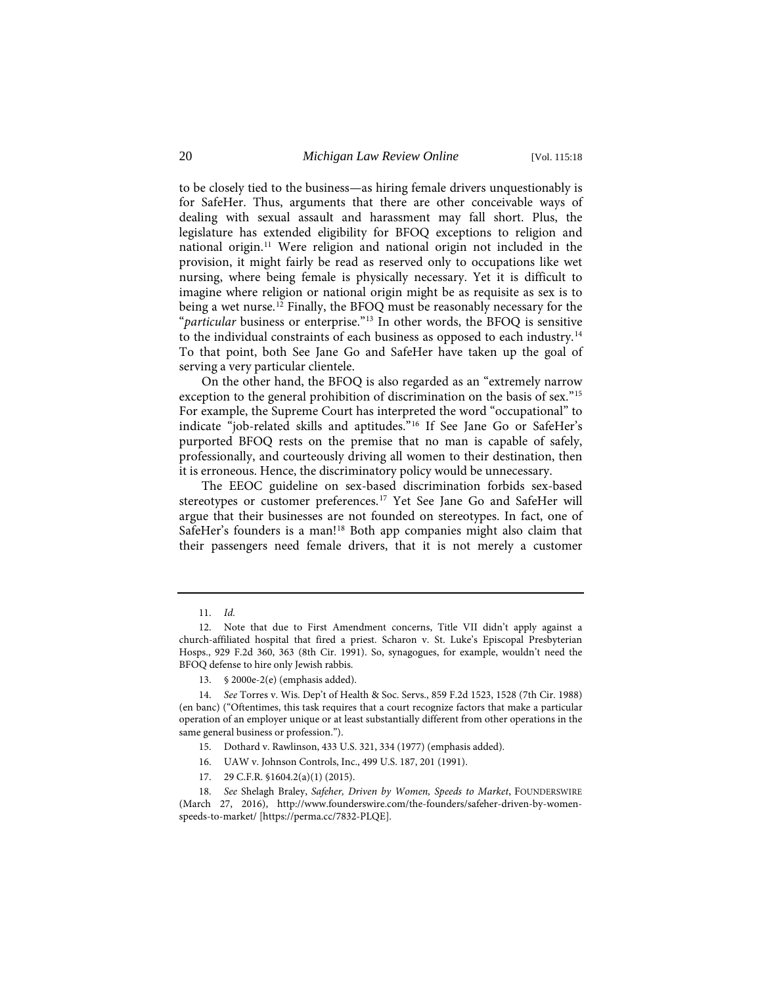to be closely tied to the business—as hiring female drivers unquestionably is for SafeHer. Thus, arguments that there are other conceivable ways of dealing with sexual assault and harassment may fall short. Plus, the legislature has extended eligibility for BFOQ exceptions to religion and national origin.[11](#page-3-0) Were religion and national origin not included in the provision, it might fairly be read as reserved only to occupations like wet nursing, where being female is physically necessary. Yet it is difficult to imagine where religion or national origin might be as requisite as sex is to being a wet nurse.<sup>[12](#page-3-1)</sup> Finally, the BFOQ must be reasonably necessary for the "*particular* business or enterprise."[13](#page-3-2) In other words, the BFOQ is sensitive to the individual constraints of each business as opposed to each industry.[14](#page-3-3) To that point, both See Jane Go and SafeHer have taken up the goal of serving a very particular clientele.

On the other hand, the BFOQ is also regarded as an "extremely narrow exception to the general prohibition of discrimination on the basis of sex."<sup>[15](#page-3-4)</sup> For example, the Supreme Court has interpreted the word "occupational" to indicate "job-related skills and aptitudes."[16](#page-3-5) If See Jane Go or SafeHer's purported BFOQ rests on the premise that no man is capable of safely, professionally, and courteously driving all women to their destination, then it is erroneous. Hence, the discriminatory policy would be unnecessary.

The EEOC guideline on sex-based discrimination forbids sex-based stereotypes or customer preferences.<sup>[17](#page-3-6)</sup> Yet See Jane Go and SafeHer will argue that their businesses are not founded on stereotypes. In fact, one of SafeHer's founders is a man!<sup>[18](#page-3-7)</sup> Both app companies might also claim that their passengers need female drivers, that it is not merely a customer

<sup>11.</sup> *Id.*

<span id="page-3-1"></span><span id="page-3-0"></span><sup>12.</sup> Note that due to First Amendment concerns, Title VII didn't apply against a church-affiliated hospital that fired a priest. Scharon v. St. Luke's Episcopal Presbyterian Hosps., 929 F.2d 360, 363 (8th Cir. 1991). So, synagogues, for example, wouldn't need the BFOQ defense to hire only Jewish rabbis.

<sup>13. § 2000</sup>e-2(e) (emphasis added).

<span id="page-3-3"></span><span id="page-3-2"></span><sup>14.</sup> *See* Torres v. Wis. Dep't of Health & Soc. Servs., 859 F.2d 1523, 1528 (7th Cir. 1988) (en banc) ("Oftentimes, this task requires that a court recognize factors that make a particular operation of an employer unique or at least substantially different from other operations in the same general business or profession.").

<sup>15.</sup> Dothard v. Rawlinson, 433 U.S. 321, 334 (1977) (emphasis added).

<sup>16.</sup> UAW v. Johnson Controls, Inc., 499 U.S. 187, 201 (1991).

<sup>17. 29</sup> C.F.R. §1604.2(a)(1) (2015).

<span id="page-3-7"></span><span id="page-3-6"></span><span id="page-3-5"></span><span id="page-3-4"></span><sup>18.</sup> *See* Shelagh Braley, *Safeher, Driven by Women, Speeds to Market*, FOUNDERSWIRE (March 27, 2016), http://www.founderswire.com/the-founders/safeher-driven-by-womenspeeds-to-market/ [https://perma.cc/7832-PLQE].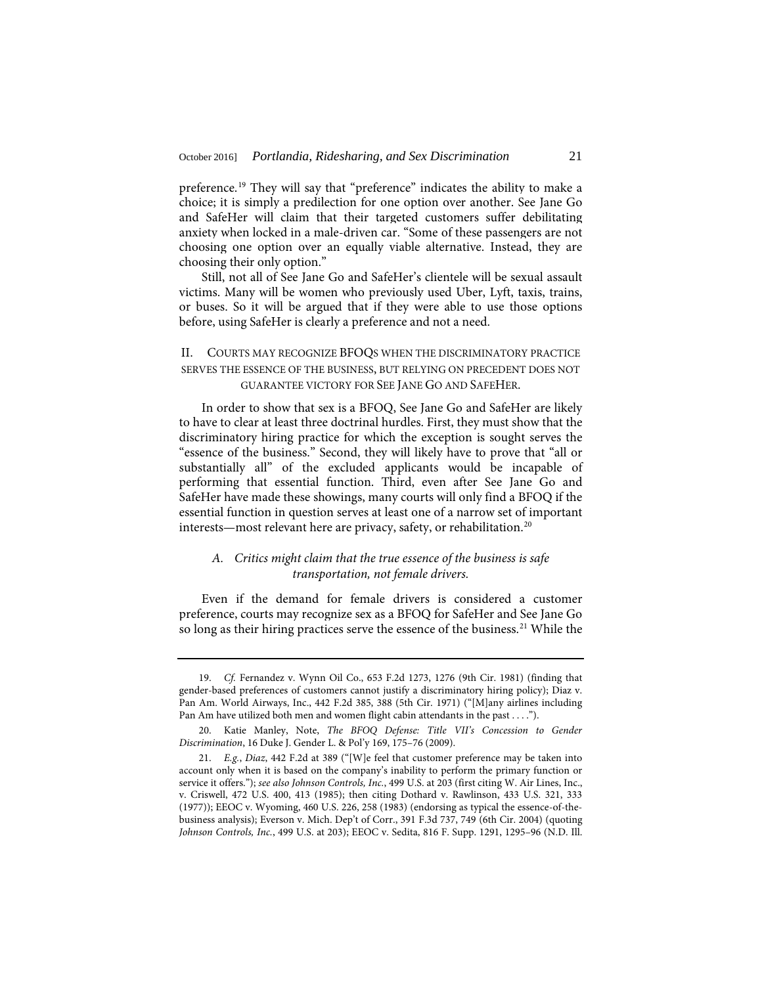preference.[19](#page-4-0) They will say that "preference" indicates the ability to make a choice; it is simply a predilection for one option over another. See Jane Go and SafeHer will claim that their targeted customers suffer debilitating anxiety when locked in a male-driven car. "Some of these passengers are not choosing one option over an equally viable alternative. Instead, they are choosing their only option."

Still, not all of See Jane Go and SafeHer's clientele will be sexual assault victims. Many will be women who previously used Uber, Lyft, taxis, trains, or buses. So it will be argued that if they were able to use those options before, using SafeHer is clearly a preference and not a need.

### II. COURTS MAY RECOGNIZE BFOQS WHEN THE DISCRIMINATORY PRACTICE SERVES THE ESSENCE OF THE BUSINESS, BUT RELYING ON PRECEDENT DOES NOT GUARANTEE VICTORY FOR SEE JANE GO AND SAFEHER.

In order to show that sex is a BFOQ, See Jane Go and SafeHer are likely to have to clear at least three doctrinal hurdles. First, they must show that the discriminatory hiring practice for which the exception is sought serves the "essence of the business." Second, they will likely have to prove that "all or substantially all" of the excluded applicants would be incapable of performing that essential function. Third, even after See Jane Go and SafeHer have made these showings, many courts will only find a BFOQ if the essential function in question serves at least one of a narrow set of important interests—most relevant here are privacy, safety, or rehabilitation.[20](#page-4-1)

### *A. Critics might claim that the true essence of the business is safe transportation, not female drivers.*

Even if the demand for female drivers is considered a customer preference, courts may recognize sex as a BFOQ for SafeHer and See Jane Go so long as their hiring practices serve the essence of the business.<sup>[21](#page-4-2)</sup> While the

<span id="page-4-0"></span><sup>19.</sup> *Cf.* Fernandez v. Wynn Oil Co., 653 F.2d 1273, 1276 (9th Cir. 1981) (finding that gender-based preferences of customers cannot justify a discriminatory hiring policy); Diaz v. Pan Am. World Airways, Inc., 442 F.2d 385, 388 (5th Cir. 1971) ("[M]any airlines including Pan Am have utilized both men and women flight cabin attendants in the past . . . .").

<span id="page-4-1"></span><sup>20.</sup> Katie Manley, Note, *The BFOQ Defense: Title VII's Concession to Gender Discrimination*, 16 Duke J. Gender L. & Pol'y 169, 175–76 (2009).

<span id="page-4-2"></span><sup>21.</sup> *E.g.*, *Diaz*, 442 F.2d at 389 ("[W]e feel that customer preference may be taken into account only when it is based on the company's inability to perform the primary function or service it offers."); *see also Johnson Controls, Inc.*, 499 U.S. at 203 (first citing W. Air Lines, Inc., v. Criswell, 472 U.S. 400, 413 (1985); then citing Dothard v. Rawlinson, 433 U.S. 321, 333 (1977)); EEOC v. Wyoming, 460 U.S. 226, 258 (1983) (endorsing as typical the essence-of-thebusiness analysis); Everson v. Mich. Dep't of Corr., 391 F.3d 737, 749 (6th Cir. 2004) (quoting *Johnson Controls, Inc.*, 499 U.S. at 203); EEOC v. Sedita, 816 F. Supp. 1291, 1295–96 (N.D. Ill.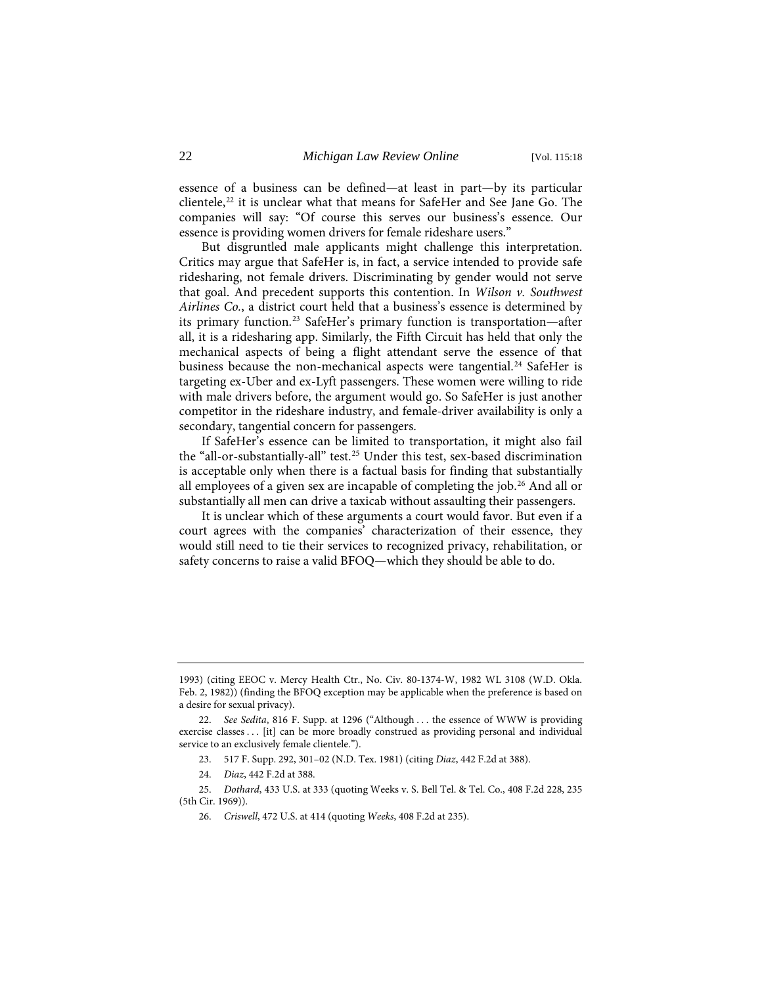essence of a business can be defined—at least in part—by its particular clientele,<sup>[22](#page-5-0)</sup> it is unclear what that means for SafeHer and See Jane Go. The companies will say: "Of course this serves our business's essence. Our essence is providing women drivers for female rideshare users."

But disgruntled male applicants might challenge this interpretation. Critics may argue that SafeHer is, in fact, a service intended to provide safe ridesharing, not female drivers. Discriminating by gender would not serve that goal. And precedent supports this contention. In *Wilson v. Southwest Airlines Co.*, a district court held that a business's essence is determined by its primary function.<sup>[23](#page-5-1)</sup> SafeHer's primary function is transportation—after all, it is a ridesharing app. Similarly, the Fifth Circuit has held that only the mechanical aspects of being a flight attendant serve the essence of that business because the non-mechanical aspects were tangential.<sup>[24](#page-5-2)</sup> SafeHer is targeting ex-Uber and ex-Lyft passengers. These women were willing to ride with male drivers before, the argument would go. So SafeHer is just another competitor in the rideshare industry, and female-driver availability is only a secondary, tangential concern for passengers.

If SafeHer's essence can be limited to transportation, it might also fail the "all-or-substantially-all" test.[25](#page-5-3) Under this test, sex-based discrimination is acceptable only when there is a factual basis for finding that substantially all employees of a given sex are incapable of completing the job.[26](#page-5-4) And all or substantially all men can drive a taxicab without assaulting their passengers.

It is unclear which of these arguments a court would favor. But even if a court agrees with the companies' characterization of their essence, they would still need to tie their services to recognized privacy, rehabilitation, or safety concerns to raise a valid BFOQ—which they should be able to do.

<sup>1993) (</sup>citing EEOC v. Mercy Health Ctr., No. Civ. 80-1374-W, 1982 WL 3108 (W.D. Okla. Feb. 2, 1982)) (finding the BFOQ exception may be applicable when the preference is based on a desire for sexual privacy).

<span id="page-5-0"></span><sup>22.</sup> *See Sedita*, 816 F. Supp. at 1296 ("Although . . . the essence of WWW is providing exercise classes . . . [it] can be more broadly construed as providing personal and individual service to an exclusively female clientele.").

<sup>23. 517</sup> F. Supp. 292, 301–02 (N.D. Tex. 1981) (citing *Diaz*, 442 F.2d at 388).

<sup>24.</sup> *Diaz*, 442 F.2d at 388.

<span id="page-5-4"></span><span id="page-5-3"></span><span id="page-5-2"></span><span id="page-5-1"></span><sup>25.</sup> *Dothard*, 433 U.S. at 333 (quoting Weeks v. S. Bell Tel. & Tel. Co., 408 F.2d 228, 235 (5th Cir. 1969)).

<sup>26.</sup> *Criswell*, 472 U.S. at 414 (quoting *Weeks*, 408 F.2d at 235).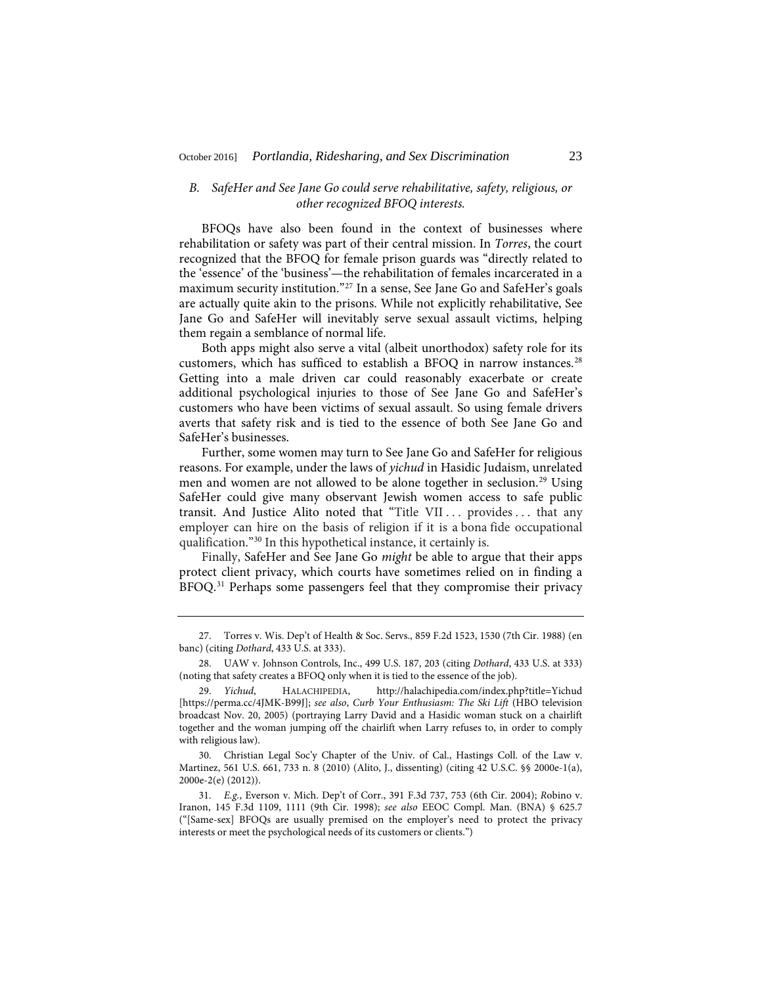#### *B. SafeHer and See Jane Go could serve rehabilitative, safety, religious, or other recognized BFOQ interests.*

BFOQs have also been found in the context of businesses where rehabilitation or safety was part of their central mission. In *Torres*, the court recognized that the BFOQ for female prison guards was "directly related to the 'essence' of the 'business'—the rehabilitation of females incarcerated in a maximum security institution."[27](#page-6-0) In a sense, See Jane Go and SafeHer's goals are actually quite akin to the prisons. While not explicitly rehabilitative, See Jane Go and SafeHer will inevitably serve sexual assault victims, helping them regain a semblance of normal life.

Both apps might also serve a vital (albeit unorthodox) safety role for its customers, which has sufficed to establish a BFOQ in narrow instances.[28](#page-6-1) Getting into a male driven car could reasonably exacerbate or create additional psychological injuries to those of See Jane Go and SafeHer's customers who have been victims of sexual assault. So using female drivers averts that safety risk and is tied to the essence of both See Jane Go and SafeHer's businesses.

Further, some women may turn to See Jane Go and SafeHer for religious reasons. For example, under the laws of *yichud* in Hasidic Judaism, unrelated men and women are not allowed to be alone together in seclusion.[29](#page-6-2) Using SafeHer could give many observant Jewish women access to safe public transit. And Justice Alito noted that "Title VII ... provides ... that any employer can hire on the basis of religion if it is a bona fide occupational qualification."[30](#page-6-3) In this hypothetical instance, it certainly is.

Finally, SafeHer and See Jane Go *might* be able to argue that their apps protect client privacy, which courts have sometimes relied on in finding a BFOQ.[31](#page-6-4) Perhaps some passengers feel that they compromise their privacy

<span id="page-6-0"></span><sup>27.</sup> Torres v. Wis. Dep't of Health & Soc. Servs., 859 F.2d 1523, 1530 (7th Cir. 1988) (en banc) (citing *Dothard*, 433 U.S. at 333).

<span id="page-6-1"></span><sup>28.</sup> UAW v. Johnson Controls, Inc., 499 U.S. 187, 203 (citing *Dothard*, 433 U.S. at 333) (noting that safety creates a BFOQ only when it is tied to the essence of the job).

<span id="page-6-2"></span><sup>29.</sup> *Yichud*, HALACHIPEDIA, http://halachipedia.com/index.php?title=Yichud [https://perma.cc/4JMK-B99J]; *see also*, *Curb Your Enthusiasm: The Ski Lift* (HBO television broadcast Nov. 20, 2005) (portraying Larry David and a Hasidic woman stuck on a chairlift together and the woman jumping off the chairlift when Larry refuses to, in order to comply with religious law).

<span id="page-6-3"></span><sup>30.</sup> Christian Legal Soc'y Chapter of the Univ. of Cal., Hastings Coll. of the Law v. Martinez, 561 U.S. 661, 733 n. 8 (2010) (Alito, J., dissenting) (citing 42 U.S.C. §§ 2000e-1(a), 2000e-2(e) (2012)).

<span id="page-6-4"></span><sup>31.</sup> *E.g.*, Everson v. Mich. Dep't of Corr., 391 F.3d 737, 753 (6th Cir. 2004); *R*obino v. Iranon, 145 F.3d 1109, 1111 (9th Cir. 1998); *see also* EEOC Compl. Man. (BNA) § 625.7 ("[Same-sex] BFOQs are usually premised on the employer's need to protect the privacy interests or meet the psychological needs of its customers or clients.")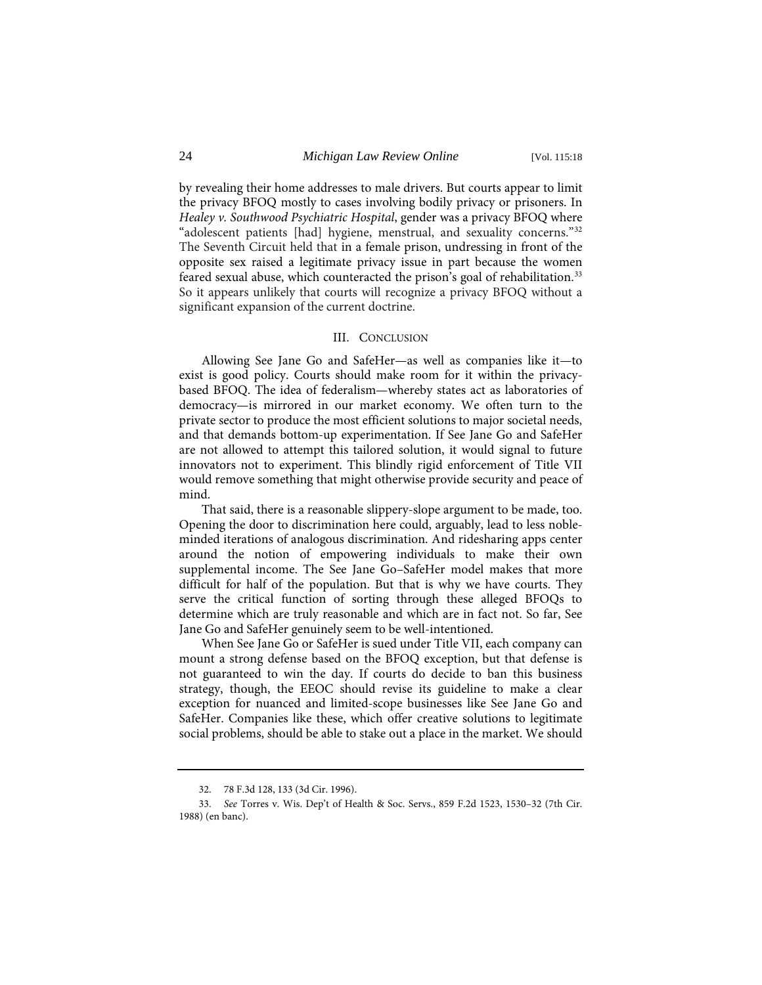by revealing their home addresses to male drivers. But courts appear to limit the privacy BFOQ mostly to cases involving bodily privacy or prisoners. In *Healey v. Southwood Psychiatric Hospital*, gender was a privacy BFOQ where "adolescent patients [had] hygiene, menstrual, and sexuality concerns."[32](#page-7-0) The Seventh Circuit held that in a female prison, undressing in front of the opposite sex raised a legitimate privacy issue in part because the women feared sexual abuse, which counteracted the prison's goal of rehabilitation.<sup>[33](#page-7-1)</sup> So it appears unlikely that courts will recognize a privacy BFOQ without a significant expansion of the current doctrine.

#### III. CONCLUSION

Allowing See Jane Go and SafeHer—as well as companies like it—to exist is good policy. Courts should make room for it within the privacybased BFOQ. The idea of federalism—whereby states act as laboratories of democracy—is mirrored in our market economy. We often turn to the private sector to produce the most efficient solutions to major societal needs, and that demands bottom-up experimentation. If See Jane Go and SafeHer are not allowed to attempt this tailored solution, it would signal to future innovators not to experiment. This blindly rigid enforcement of Title VII would remove something that might otherwise provide security and peace of mind.

That said, there is a reasonable slippery-slope argument to be made, too. Opening the door to discrimination here could, arguably, lead to less nobleminded iterations of analogous discrimination. And ridesharing apps center around the notion of empowering individuals to make their own supplemental income. The See Jane Go–SafeHer model makes that more difficult for half of the population. But that is why we have courts. They serve the critical function of sorting through these alleged BFOQs to determine which are truly reasonable and which are in fact not. So far, See Jane Go and SafeHer genuinely seem to be well-intentioned.

When See Jane Go or SafeHer is sued under Title VII, each company can mount a strong defense based on the BFOQ exception, but that defense is not guaranteed to win the day. If courts do decide to ban this business strategy, though, the EEOC should revise its guideline to make a clear exception for nuanced and limited-scope businesses like See Jane Go and SafeHer. Companies like these, which offer creative solutions to legitimate social problems, should be able to stake out a place in the market. We should

<sup>32. 78</sup> F.3d 128, 133 (3d Cir. 1996).

<span id="page-7-1"></span><span id="page-7-0"></span><sup>33.</sup> *See* Torres v. Wis. Dep't of Health & Soc. Servs., 859 F.2d 1523, 1530–32 (7th Cir. 1988) (en banc).